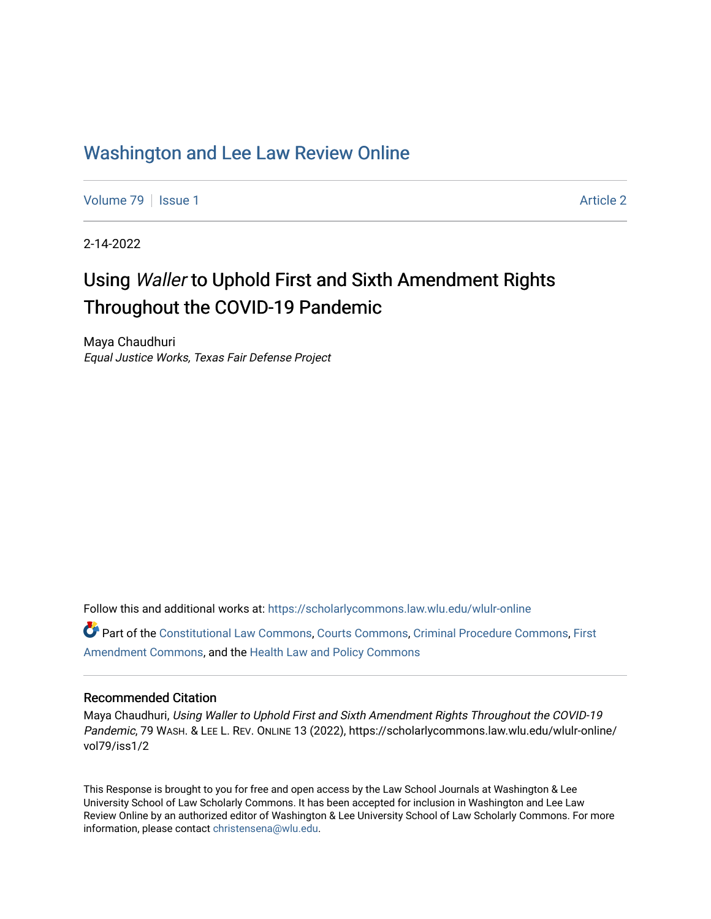# [Washington and Lee Law Review Online](https://scholarlycommons.law.wlu.edu/wlulr-online)

[Volume 79](https://scholarlycommons.law.wlu.edu/wlulr-online/vol79) | [Issue 1](https://scholarlycommons.law.wlu.edu/wlulr-online/vol79/iss1) Article 2

2-14-2022

# Using Waller to Uphold First and Sixth Amendment Rights Throughout the COVID-19 Pandemic

Maya Chaudhuri Equal Justice Works, Texas Fair Defense Project

Follow this and additional works at: [https://scholarlycommons.law.wlu.edu/wlulr-online](https://scholarlycommons.law.wlu.edu/wlulr-online?utm_source=scholarlycommons.law.wlu.edu%2Fwlulr-online%2Fvol79%2Fiss1%2F2&utm_medium=PDF&utm_campaign=PDFCoverPages) 

Part of the [Constitutional Law Commons,](http://network.bepress.com/hgg/discipline/589?utm_source=scholarlycommons.law.wlu.edu%2Fwlulr-online%2Fvol79%2Fiss1%2F2&utm_medium=PDF&utm_campaign=PDFCoverPages) [Courts Commons,](http://network.bepress.com/hgg/discipline/839?utm_source=scholarlycommons.law.wlu.edu%2Fwlulr-online%2Fvol79%2Fiss1%2F2&utm_medium=PDF&utm_campaign=PDFCoverPages) [Criminal Procedure Commons,](http://network.bepress.com/hgg/discipline/1073?utm_source=scholarlycommons.law.wlu.edu%2Fwlulr-online%2Fvol79%2Fiss1%2F2&utm_medium=PDF&utm_campaign=PDFCoverPages) [First](http://network.bepress.com/hgg/discipline/1115?utm_source=scholarlycommons.law.wlu.edu%2Fwlulr-online%2Fvol79%2Fiss1%2F2&utm_medium=PDF&utm_campaign=PDFCoverPages)  [Amendment Commons](http://network.bepress.com/hgg/discipline/1115?utm_source=scholarlycommons.law.wlu.edu%2Fwlulr-online%2Fvol79%2Fiss1%2F2&utm_medium=PDF&utm_campaign=PDFCoverPages), and the [Health Law and Policy Commons](http://network.bepress.com/hgg/discipline/901?utm_source=scholarlycommons.law.wlu.edu%2Fwlulr-online%2Fvol79%2Fiss1%2F2&utm_medium=PDF&utm_campaign=PDFCoverPages) 

# Recommended Citation

Maya Chaudhuri, Using Waller to Uphold First and Sixth Amendment Rights Throughout the COVID-19 Pandemic, 79 WASH. & LEE L. REV. ONLINE 13 (2022), https://scholarlycommons.law.wlu.edu/wlulr-online/ vol79/iss1/2

This Response is brought to you for free and open access by the Law School Journals at Washington & Lee University School of Law Scholarly Commons. It has been accepted for inclusion in Washington and Lee Law Review Online by an authorized editor of Washington & Lee University School of Law Scholarly Commons. For more information, please contact [christensena@wlu.edu](mailto:christensena@wlu.edu).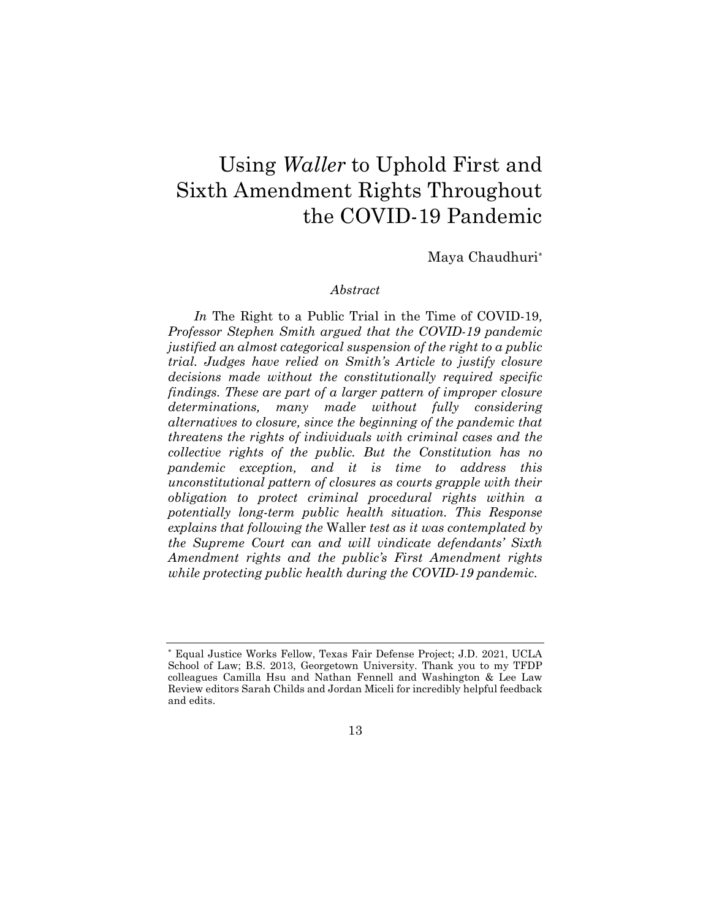# Using Waller to Uphold First and Sixth Amendment Rights Throughout the COVID-19 Pandemic

Maya Chaudhuri\*

#### Abstract

In The Right to a Public Trial in the Time of COVID-19, Professor Stephen Smith argued that the COVID-19 pandemic justified an almost categorical suspension of the right to a public trial. Judges have relied on Smith's Article to justify closure decisions made without the constitutionally required specific findings. These are part of a larger pattern of improper closure determinations, many made without fully considering alternatives to closure, since the beginning of the pandemic that threatens the rights of individuals with criminal cases and the collective rights of the public. But the Constitution has no pandemic exception, and it is time to address this unconstitutional pattern of closures as courts grapple with their obligation to protect criminal procedural rights within a potentially long-term public health situation. This Response explains that following the Waller test as it was contemplated by the Supreme Court can and will vindicate defendants' Sixth Amendment rights and the public's First Amendment rights while protecting public health during the COVID-19 pandemic.

<sup>\*</sup> Equal Justice Works Fellow, Texas Fair Defense Project; J.D. 2021, UCLA School of Law; B.S. 2013, Georgetown University. Thank you to my TFDP colleagues Camilla Hsu and Nathan Fennell and Washington & Lee Law Review editors Sarah Childs and Jordan Miceli for incredibly helpful feedback and edits.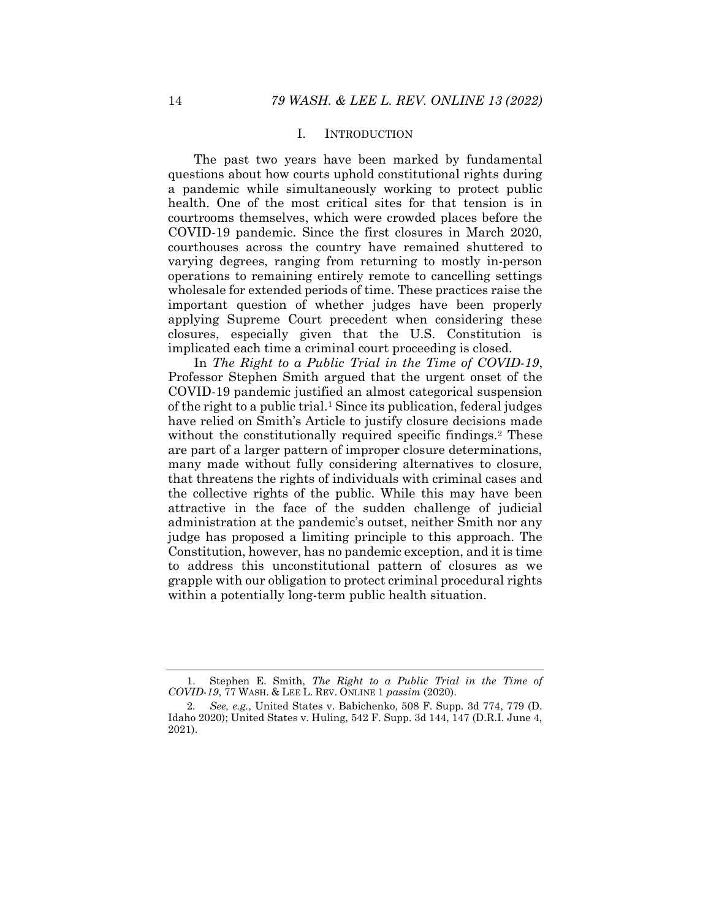### I. INTRODUCTION

The past two years have been marked by fundamental questions about how courts uphold constitutional rights during a pandemic while simultaneously working to protect public health. One of the most critical sites for that tension is in courtrooms themselves, which were crowded places before the COVID-19 pandemic. Since the first closures in March 2020, courthouses across the country have remained shuttered to varying degrees, ranging from returning to mostly in-person operations to remaining entirely remote to cancelling settings wholesale for extended periods of time. These practices raise the important question of whether judges have been properly applying Supreme Court precedent when considering these closures, especially given that the U.S. Constitution is implicated each time a criminal court proceeding is closed.

In The Right to a Public Trial in the Time of COVID-19, Professor Stephen Smith argued that the urgent onset of the COVID-19 pandemic justified an almost categorical suspension of the right to a public trial.<sup>1</sup> Since its publication, federal judges have relied on Smith's Article to justify closure decisions made without the constitutionally required specific findings.<sup>2</sup> These are part of a larger pattern of improper closure determinations, many made without fully considering alternatives to closure, that threatens the rights of individuals with criminal cases and the collective rights of the public. While this may have been attractive in the face of the sudden challenge of judicial administration at the pandemic's outset, neither Smith nor any judge has proposed a limiting principle to this approach. The Constitution, however, has no pandemic exception, and it is time to address this unconstitutional pattern of closures as we grapple with our obligation to protect criminal procedural rights within a potentially long-term public health situation.

 <sup>1.</sup> Stephen E. Smith, The Right to a Public Trial in the Time of COVID-19, 77 WASH. & LEE L. REV. ONLINE 1 passim (2020).

<sup>2</sup>. See, e.g., United States v. Babichenko, 508 F. Supp. 3d 774, 779 (D. Idaho 2020); United States v. Huling, 542 F. Supp. 3d 144, 147 (D.R.I. June 4, 2021).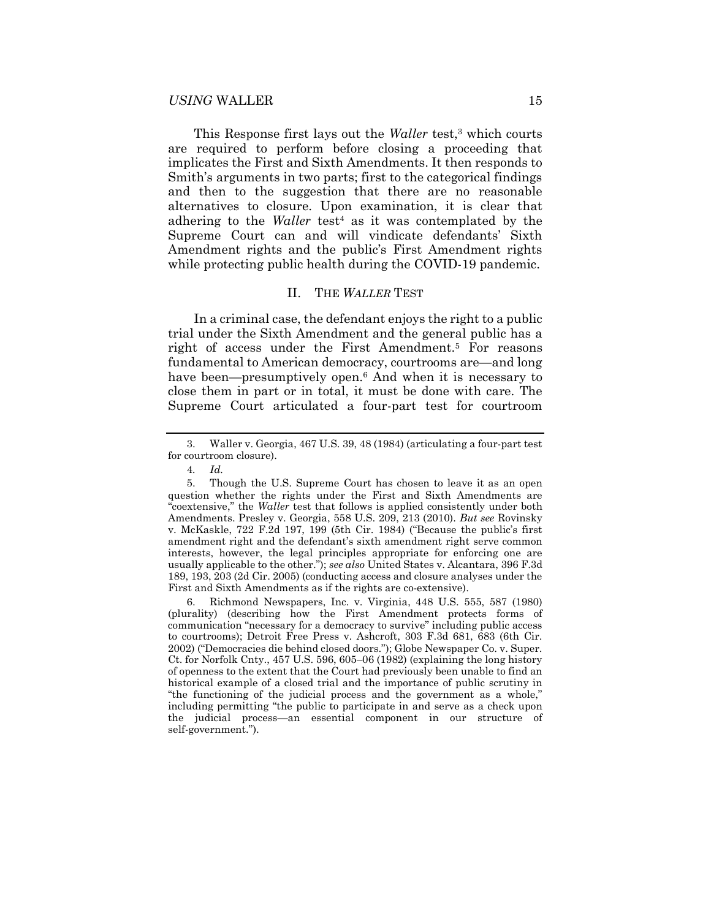This Response first lays out the *Waller* test,<sup>3</sup> which courts are required to perform before closing a proceeding that implicates the First and Sixth Amendments. It then responds to Smith's arguments in two parts; first to the categorical findings and then to the suggestion that there are no reasonable alternatives to closure. Upon examination, it is clear that adhering to the *Waller* test<sup>4</sup> as it was contemplated by the Supreme Court can and will vindicate defendants' Sixth Amendment rights and the public's First Amendment rights while protecting public health during the COVID-19 pandemic.

#### II. THE WALLER TEST

In a criminal case, the defendant enjoys the right to a public trial under the Sixth Amendment and the general public has a right of access under the First Amendment.<sup>5</sup> For reasons fundamental to American democracy, courtrooms are—and long have been—presumptively open.<sup>6</sup> And when it is necessary to close them in part or in total, it must be done with care. The Supreme Court articulated a four-part test for courtroom

 6. Richmond Newspapers, Inc. v. Virginia, 448 U.S. 555, 587 (1980) (plurality) (describing how the First Amendment protects forms of communication "necessary for a democracy to survive" including public access to courtrooms); Detroit Free Press v. Ashcroft, 303 F.3d 681, 683 (6th Cir. 2002) ("Democracies die behind closed doors."); Globe Newspaper Co. v. Super. Ct. for Norfolk Cnty., 457 U.S. 596, 605–06 (1982) (explaining the long history of openness to the extent that the Court had previously been unable to find an historical example of a closed trial and the importance of public scrutiny in "the functioning of the judicial process and the government as a whole," including permitting "the public to participate in and serve as a check upon the judicial process—an essential component in our structure of self-government.").

 <sup>3.</sup> Waller v. Georgia, 467 U.S. 39, 48 (1984) (articulating a four-part test for courtroom closure).

<sup>4</sup>. Id.

 <sup>5.</sup> Though the U.S. Supreme Court has chosen to leave it as an open question whether the rights under the First and Sixth Amendments are "coextensive," the Waller test that follows is applied consistently under both Amendments. Presley v. Georgia, 558 U.S. 209, 213 (2010). But see Rovinsky v. McKaskle, 722 F.2d 197, 199 (5th Cir. 1984) ("Because the public's first amendment right and the defendant's sixth amendment right serve common interests, however, the legal principles appropriate for enforcing one are usually applicable to the other."); see also United States v. Alcantara, 396 F.3d 189, 193, 203 (2d Cir. 2005) (conducting access and closure analyses under the First and Sixth Amendments as if the rights are co-extensive).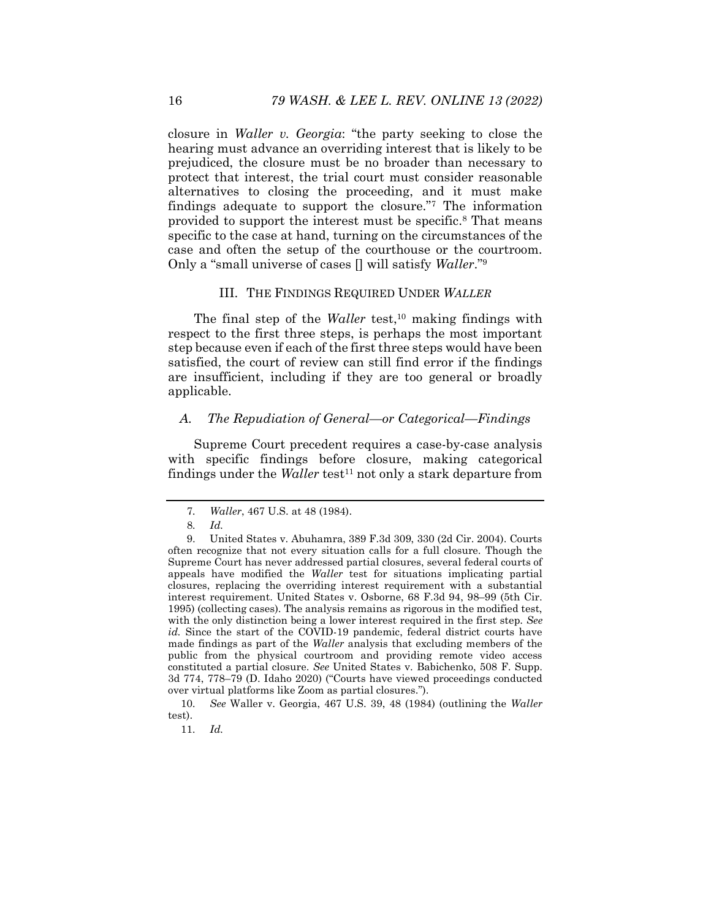closure in Waller v. Georgia: "the party seeking to close the hearing must advance an overriding interest that is likely to be prejudiced, the closure must be no broader than necessary to protect that interest, the trial court must consider reasonable alternatives to closing the proceeding, and it must make findings adequate to support the closure."<sup>7</sup> The information provided to support the interest must be specific.<sup>8</sup> That means specific to the case at hand, turning on the circumstances of the case and often the setup of the courthouse or the courtroom. Only a "small universe of cases  $\Box$  will satisfy *Waller*."<sup>9</sup>

#### III. THE FINDINGS REQUIRED UNDER WALLER

The final step of the Waller test,<sup>10</sup> making findings with respect to the first three steps, is perhaps the most important step because even if each of the first three steps would have been satisfied, the court of review can still find error if the findings are insufficient, including if they are too general or broadly applicable.

#### A. The Repudiation of General—or Categorical—Findings

Supreme Court precedent requires a case-by-case analysis with specific findings before closure, making categorical findings under the *Waller* test<sup>11</sup> not only a stark departure from

10. See Waller v. Georgia, 467 U.S. 39, 48 (1984) (outlining the Waller test).

11. Id.

<sup>7</sup>. Waller, 467 U.S. at 48 (1984).

<sup>8</sup>. Id.

 <sup>9.</sup> United States v. Abuhamra, 389 F.3d 309, 330 (2d Cir. 2004). Courts often recognize that not every situation calls for a full closure. Though the Supreme Court has never addressed partial closures, several federal courts of appeals have modified the Waller test for situations implicating partial closures, replacing the overriding interest requirement with a substantial interest requirement. United States v. Osborne, 68 F.3d 94, 98–99 (5th Cir. 1995) (collecting cases). The analysis remains as rigorous in the modified test, with the only distinction being a lower interest required in the first step. See id. Since the start of the COVID-19 pandemic, federal district courts have made findings as part of the Waller analysis that excluding members of the public from the physical courtroom and providing remote video access constituted a partial closure. See United States v. Babichenko, 508 F. Supp. 3d 774, 778–79 (D. Idaho 2020) ("Courts have viewed proceedings conducted over virtual platforms like Zoom as partial closures.").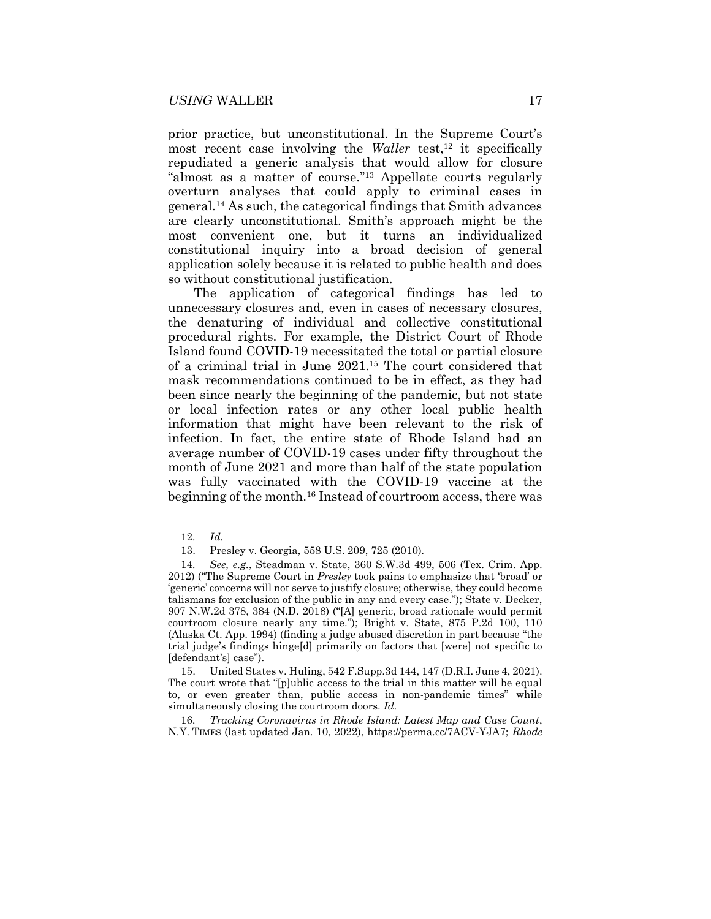prior practice, but unconstitutional. In the Supreme Court's most recent case involving the *Waller* test,<sup>12</sup> it specifically repudiated a generic analysis that would allow for closure "almost as a matter of course."13 Appellate courts regularly overturn analyses that could apply to criminal cases in general.14 As such, the categorical findings that Smith advances are clearly unconstitutional. Smith's approach might be the most convenient one, but it turns an individualized constitutional inquiry into a broad decision of general application solely because it is related to public health and does so without constitutional justification.

The application of categorical findings has led to unnecessary closures and, even in cases of necessary closures, the denaturing of individual and collective constitutional procedural rights. For example, the District Court of Rhode Island found COVID-19 necessitated the total or partial closure of a criminal trial in June 2021.15 The court considered that mask recommendations continued to be in effect, as they had been since nearly the beginning of the pandemic, but not state or local infection rates or any other local public health information that might have been relevant to the risk of infection. In fact, the entire state of Rhode Island had an average number of COVID-19 cases under fifty throughout the month of June 2021 and more than half of the state population was fully vaccinated with the COVID-19 vaccine at the beginning of the month.16 Instead of courtroom access, there was

 15. United States v. Huling, 542 F.Supp.3d 144, 147 (D.R.I. June 4, 2021). The court wrote that "[p]ublic access to the trial in this matter will be equal to, or even greater than, public access in non-pandemic times" while simultaneously closing the courtroom doors. Id.

16. Tracking Coronavirus in Rhode Island: Latest Map and Case Count, N.Y. TIMES (last updated Jan. 10, 2022), https://perma.cc/7ACV-YJA7; Rhode

<sup>12</sup>. Id.

 <sup>13.</sup> Presley v. Georgia, 558 U.S. 209, 725 (2010).

<sup>14</sup>. See, e.g., Steadman v. State, 360 S.W.3d 499, 506 (Tex. Crim. App. 2012) ("The Supreme Court in Presley took pains to emphasize that 'broad' or 'generic' concerns will not serve to justify closure; otherwise, they could become talismans for exclusion of the public in any and every case."); State v. Decker, 907 N.W.2d 378, 384 (N.D. 2018) ("[A] generic, broad rationale would permit courtroom closure nearly any time."); Bright v. State, 875 P.2d 100, 110 (Alaska Ct. App. 1994) (finding a judge abused discretion in part because "the trial judge's findings hinge[d] primarily on factors that [were] not specific to [defendant's] case").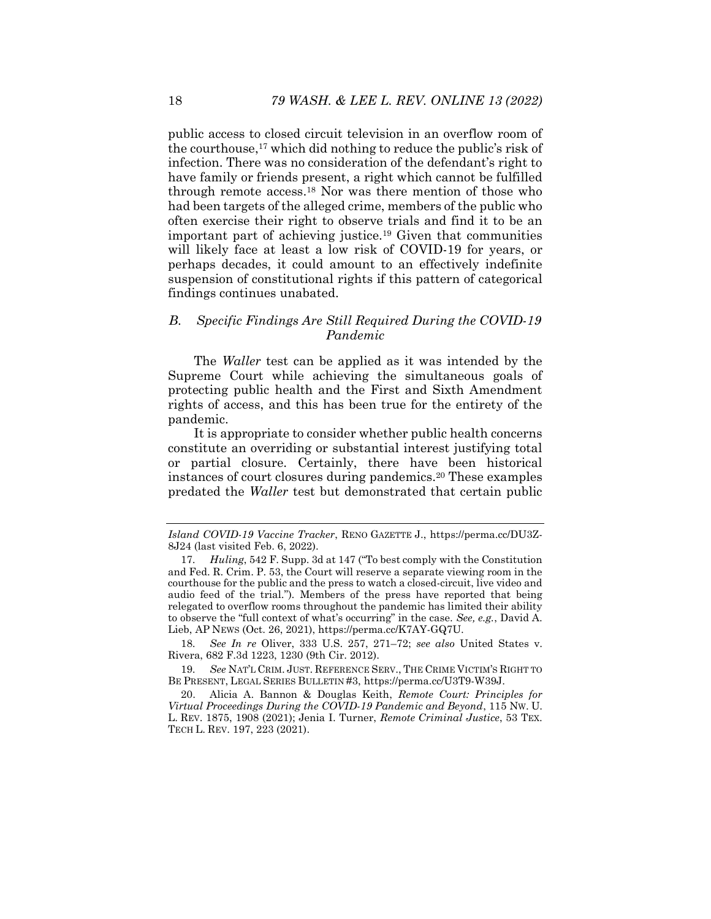public access to closed circuit television in an overflow room of the courthouse,17 which did nothing to reduce the public's risk of infection. There was no consideration of the defendant's right to have family or friends present, a right which cannot be fulfilled through remote access.18 Nor was there mention of those who had been targets of the alleged crime, members of the public who often exercise their right to observe trials and find it to be an important part of achieving justice.19 Given that communities will likely face at least a low risk of COVID-19 for years, or perhaps decades, it could amount to an effectively indefinite suspension of constitutional rights if this pattern of categorical findings continues unabated.

# B. Specific Findings Are Still Required During the COVID-19 Pandemic

The *Waller* test can be applied as it was intended by the Supreme Court while achieving the simultaneous goals of protecting public health and the First and Sixth Amendment rights of access, and this has been true for the entirety of the pandemic.

It is appropriate to consider whether public health concerns constitute an overriding or substantial interest justifying total or partial closure. Certainly, there have been historical instances of court closures during pandemics.20 These examples predated the Waller test but demonstrated that certain public

18. See In re Oliver, 333 U.S. 257, 271–72; see also United States v. Rivera, 682 F.3d 1223, 1230 (9th Cir. 2012).

19. See NAT'L CRIM. JUST. REFERENCE SERV., THE CRIME VICTIM'S RIGHT TO BE PRESENT, LEGAL SERIES BULLETIN #3, https://perma.cc/U3T9-W39J.

 20. Alicia A. Bannon & Douglas Keith, Remote Court: Principles for Virtual Proceedings During the COVID-19 Pandemic and Beyond, 115 NW. U. L. REV. 1875, 1908 (2021); Jenia I. Turner, Remote Criminal Justice, 53 TEX. TECH L. REV. 197, 223 (2021).

Island COVID-19 Vaccine Tracker, RENO GAZETTE J., https://perma.cc/DU3Z-8J24 (last visited Feb. 6, 2022).

<sup>17</sup>. Huling, 542 F. Supp. 3d at 147 ("To best comply with the Constitution and Fed. R. Crim. P. 53, the Court will reserve a separate viewing room in the courthouse for the public and the press to watch a closed-circuit, live video and audio feed of the trial."). Members of the press have reported that being relegated to overflow rooms throughout the pandemic has limited their ability to observe the "full context of what's occurring" in the case. See, e.g., David A. Lieb, AP NEWS (Oct. 26, 2021), https://perma.cc/K7AY-GQ7U.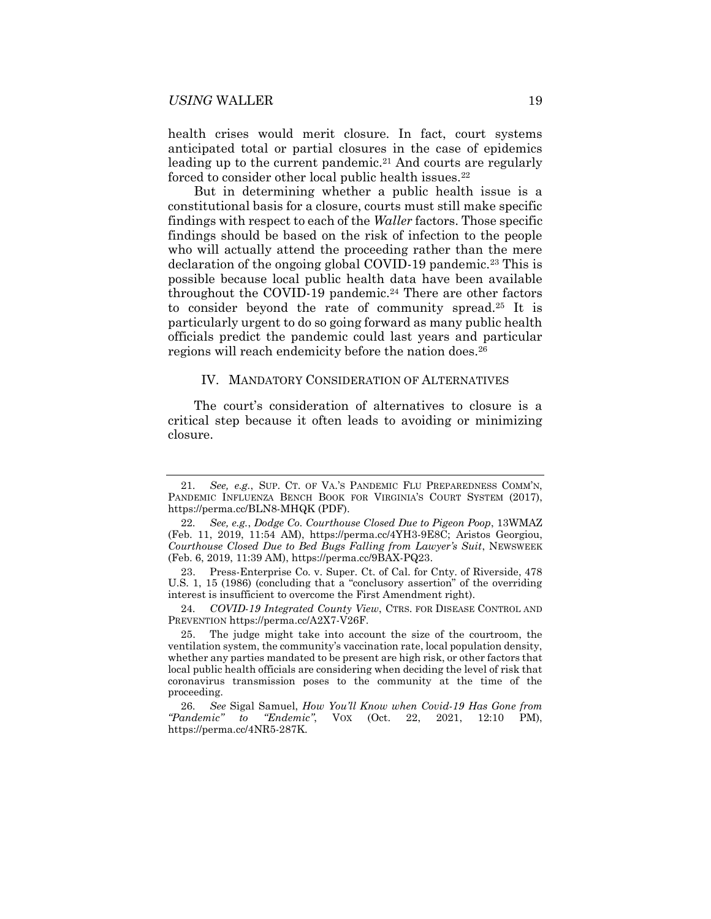health crises would merit closure. In fact, court systems anticipated total or partial closures in the case of epidemics leading up to the current pandemic.<sup>21</sup> And courts are regularly forced to consider other local public health issues.<sup>22</sup>

But in determining whether a public health issue is a constitutional basis for a closure, courts must still make specific findings with respect to each of the Waller factors. Those specific findings should be based on the risk of infection to the people who will actually attend the proceeding rather than the mere declaration of the ongoing global COVID-19 pandemic.<sup>23</sup> This is possible because local public health data have been available throughout the COVID-19 pandemic.<sup>24</sup> There are other factors to consider beyond the rate of community spread.25 It is particularly urgent to do so going forward as many public health officials predict the pandemic could last years and particular regions will reach endemicity before the nation does.<sup>26</sup>

#### IV. MANDATORY CONSIDERATION OF ALTERNATIVES

The court's consideration of alternatives to closure is a critical step because it often leads to avoiding or minimizing closure.

24. COVID-19 Integrated County View, CTRS. FOR DISEASE CONTROL AND PREVENTION https://perma.cc/A2X7-V26F.

<sup>21</sup>. See, e.g., SUP. CT. OF VA.'S PANDEMIC FLU PREPAREDNESS COMM'N, PANDEMIC INFLUENZA BENCH BOOK FOR VIRGINIA'S COURT SYSTEM (2017), https://perma.cc/BLN8-MHQK (PDF).

<sup>22</sup>. See, e.g., Dodge Co. Courthouse Closed Due to Pigeon Poop, 13WMAZ (Feb. 11, 2019, 11:54 AM), https://perma.cc/4YH3-9E8C; Aristos Georgiou, Courthouse Closed Due to Bed Bugs Falling from Lawyer's Suit, NEWSWEEK (Feb. 6, 2019, 11:39 AM), https://perma.cc/9BAX-PQ23.

 <sup>23.</sup> Press-Enterprise Co. v. Super. Ct. of Cal. for Cnty. of Riverside, 478 U.S. 1, 15 (1986) (concluding that a "conclusory assertion" of the overriding interest is insufficient to overcome the First Amendment right).

 <sup>25.</sup> The judge might take into account the size of the courtroom, the ventilation system, the community's vaccination rate, local population density, whether any parties mandated to be present are high risk, or other factors that local public health officials are considering when deciding the level of risk that coronavirus transmission poses to the community at the time of the proceeding.

<sup>26</sup>. See Sigal Samuel, How You'll Know when Covid-19 Has Gone from "Pandemic" to "Endemic", VOX (Oct. 22, 2021, 12:10 PM), https://perma.cc/4NR5-287K.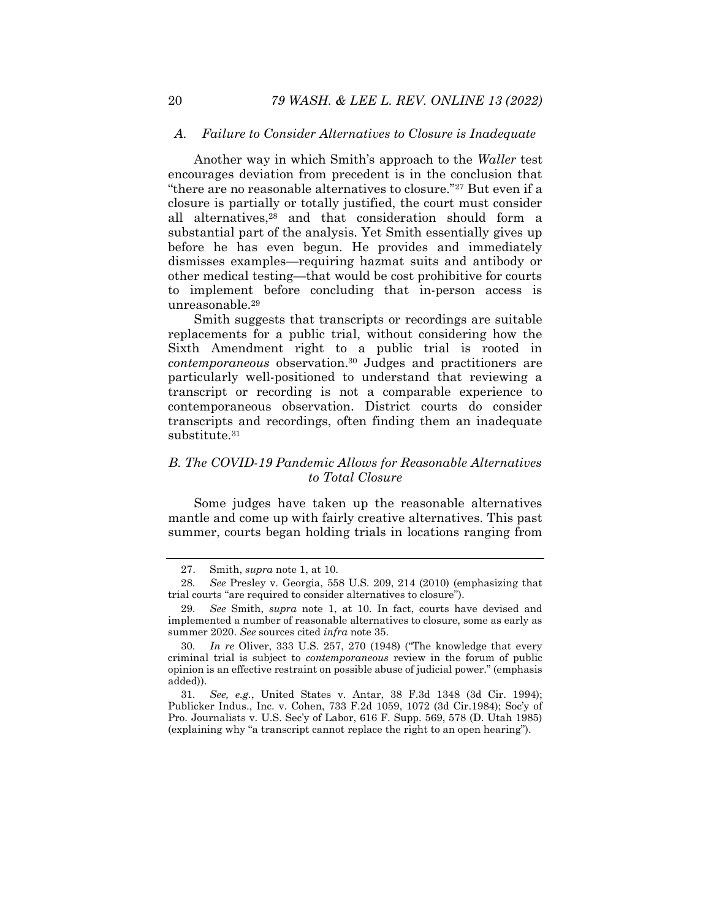#### A. Failure to Consider Alternatives to Closure is Inadequate

Another way in which Smith's approach to the Waller test encourages deviation from precedent is in the conclusion that "there are no reasonable alternatives to closure."27 But even if a closure is partially or totally justified, the court must consider all alternatives,28 and that consideration should form a substantial part of the analysis. Yet Smith essentially gives up before he has even begun. He provides and immediately dismisses examples—requiring hazmat suits and antibody or other medical testing—that would be cost prohibitive for courts to implement before concluding that in-person access is unreasonable.<sup>29</sup>

Smith suggests that transcripts or recordings are suitable replacements for a public trial, without considering how the Sixth Amendment right to a public trial is rooted in contemporaneous observation.30 Judges and practitioners are particularly well-positioned to understand that reviewing a transcript or recording is not a comparable experience to contemporaneous observation. District courts do consider transcripts and recordings, often finding them an inadequate substitute.<sup>31</sup>

### B. The COVID-19 Pandemic Allows for Reasonable Alternatives to Total Closure

Some judges have taken up the reasonable alternatives mantle and come up with fairly creative alternatives. This past summer, courts began holding trials in locations ranging from

 <sup>27.</sup> Smith, supra note 1, at 10.

<sup>28</sup>. See Presley v. Georgia, 558 U.S. 209, 214 (2010) (emphasizing that trial courts "are required to consider alternatives to closure").

<sup>29</sup>. See Smith, supra note 1, at 10. In fact, courts have devised and implemented a number of reasonable alternatives to closure, some as early as summer 2020. See sources cited infra note 35.

<sup>30</sup>. In re Oliver, 333 U.S. 257, 270 (1948) ("The knowledge that every criminal trial is subject to contemporaneous review in the forum of public opinion is an effective restraint on possible abuse of judicial power." (emphasis added)).

<sup>31</sup>. See, e.g., United States v. Antar, 38 F.3d 1348 (3d Cir. 1994); Publicker Indus., Inc. v. Cohen, 733 F.2d 1059, 1072 (3d Cir.1984); Soc'y of Pro. Journalists v. U.S. Sec'y of Labor, 616 F. Supp. 569, 578 (D. Utah 1985) (explaining why "a transcript cannot replace the right to an open hearing").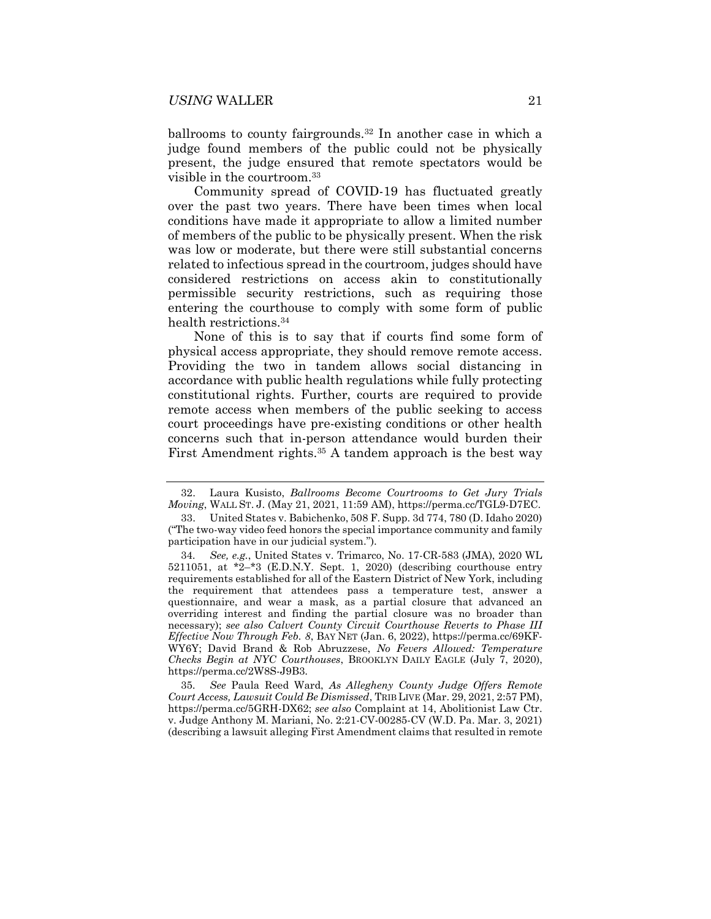ballrooms to county fairgrounds.32 In another case in which a judge found members of the public could not be physically present, the judge ensured that remote spectators would be visible in the courtroom.<sup>33</sup>

Community spread of COVID-19 has fluctuated greatly over the past two years. There have been times when local conditions have made it appropriate to allow a limited number of members of the public to be physically present. When the risk was low or moderate, but there were still substantial concerns related to infectious spread in the courtroom, judges should have considered restrictions on access akin to constitutionally permissible security restrictions, such as requiring those entering the courthouse to comply with some form of public health restrictions.<sup>34</sup>

None of this is to say that if courts find some form of physical access appropriate, they should remove remote access. Providing the two in tandem allows social distancing in accordance with public health regulations while fully protecting constitutional rights. Further, courts are required to provide remote access when members of the public seeking to access court proceedings have pre-existing conditions or other health concerns such that in-person attendance would burden their First Amendment rights.<sup>35</sup> A tandem approach is the best way

35. See Paula Reed Ward, As Allegheny County Judge Offers Remote Court Access, Lawsuit Could Be Dismissed, TRIB LIVE (Mar. 29, 2021, 2:57 PM), https://perma.cc/5GRH-DX62; see also Complaint at 14, Abolitionist Law Ctr. v. Judge Anthony M. Mariani, No. 2:21-CV-00285-CV (W.D. Pa. Mar. 3, 2021) (describing a lawsuit alleging First Amendment claims that resulted in remote

 <sup>32.</sup> Laura Kusisto, Ballrooms Become Courtrooms to Get Jury Trials Moving, WALL ST. J. (May 21, 2021, 11:59 AM), https://perma.cc/TGL9-D7EC.

 <sup>33.</sup> United States v. Babichenko, 508 F. Supp. 3d 774, 780 (D. Idaho 2020) ("The two-way video feed honors the special importance community and family participation have in our judicial system.").

<sup>34</sup>. See, e.g., United States v. Trimarco, No. 17-CR-583 (JMA), 2020 WL 5211051, at \*2–\*3 (E.D.N.Y. Sept. 1, 2020) (describing courthouse entry requirements established for all of the Eastern District of New York, including the requirement that attendees pass a temperature test, answer a questionnaire, and wear a mask, as a partial closure that advanced an overriding interest and finding the partial closure was no broader than necessary); see also Calvert County Circuit Courthouse Reverts to Phase III Effective Now Through Feb. 8, BAY NET (Jan. 6, 2022), https://perma.cc/69KF-WY6Y; David Brand & Rob Abruzzese, No Fevers Allowed: Temperature Checks Begin at NYC Courthouses, BROOKLYN DAILY EAGLE (July  $7, 2020$ ), https://perma.cc/2W8S-J9B3.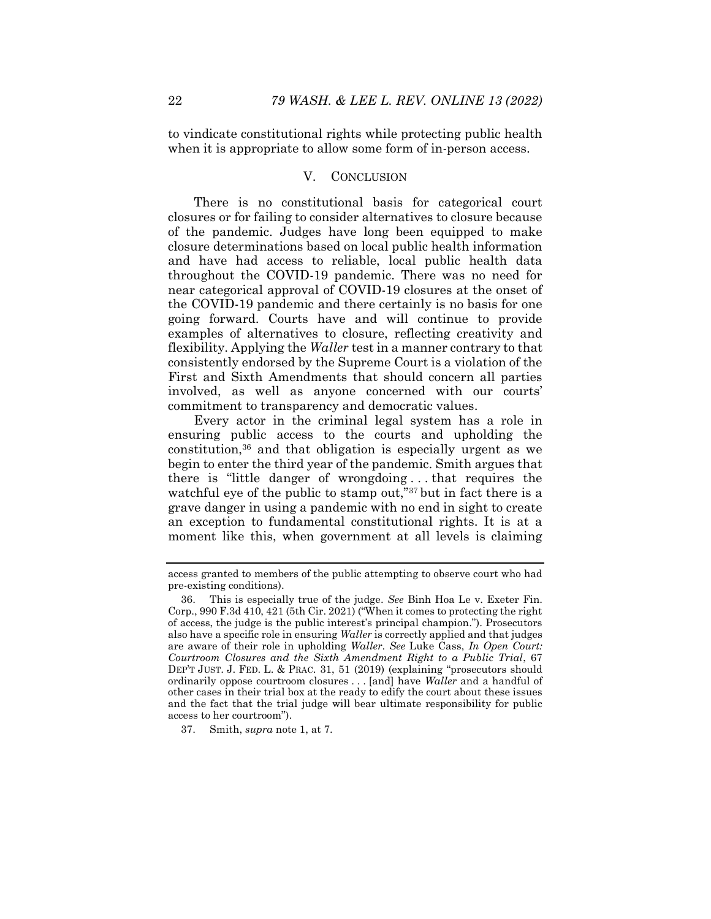to vindicate constitutional rights while protecting public health when it is appropriate to allow some form of in-person access.

#### V. CONCLUSION

There is no constitutional basis for categorical court closures or for failing to consider alternatives to closure because of the pandemic. Judges have long been equipped to make closure determinations based on local public health information and have had access to reliable, local public health data throughout the COVID-19 pandemic. There was no need for near categorical approval of COVID-19 closures at the onset of the COVID-19 pandemic and there certainly is no basis for one going forward. Courts have and will continue to provide examples of alternatives to closure, reflecting creativity and flexibility. Applying the Waller test in a manner contrary to that consistently endorsed by the Supreme Court is a violation of the First and Sixth Amendments that should concern all parties involved, as well as anyone concerned with our courts' commitment to transparency and democratic values.

Every actor in the criminal legal system has a role in ensuring public access to the courts and upholding the constitution,36 and that obligation is especially urgent as we begin to enter the third year of the pandemic. Smith argues that there is "little danger of wrongdoing . . . that requires the watchful eye of the public to stamp out,"<sup>37</sup> but in fact there is a grave danger in using a pandemic with no end in sight to create an exception to fundamental constitutional rights. It is at a moment like this, when government at all levels is claiming

37. Smith, supra note 1, at 7.

access granted to members of the public attempting to observe court who had pre-existing conditions).

 <sup>36.</sup> This is especially true of the judge. See Binh Hoa Le v. Exeter Fin. Corp., 990 F.3d 410, 421 (5th Cir. 2021) ("When it comes to protecting the right of access, the judge is the public interest's principal champion."). Prosecutors also have a specific role in ensuring Waller is correctly applied and that judges are aware of their role in upholding Waller. See Luke Cass, In Open Court: Courtroom Closures and the Sixth Amendment Right to a Public Trial, 67 DEP'T JUST. J. FED. L. & PRAC. 31, 51 (2019) (explaining "prosecutors should ordinarily oppose courtroom closures . . . [and] have Waller and a handful of other cases in their trial box at the ready to edify the court about these issues and the fact that the trial judge will bear ultimate responsibility for public access to her courtroom").